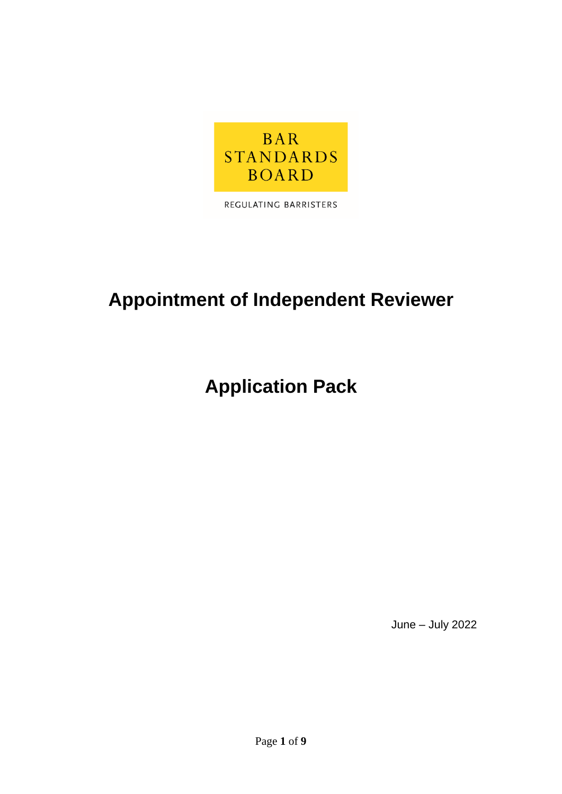

REGULATING BARRISTERS

# **Appointment of Independent Reviewer**

# **Application Pack**

June – July 2022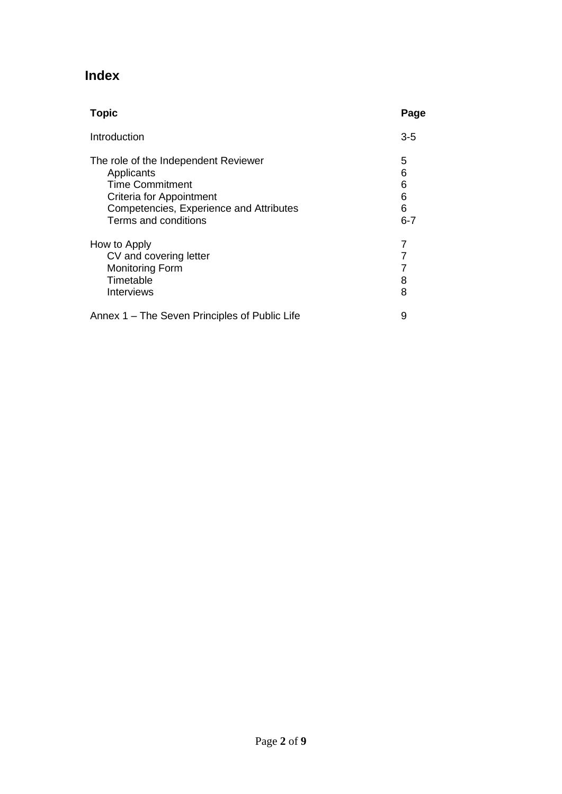# **Index**

| <b>Topic</b>                                                                                                                                                                | Page                             |
|-----------------------------------------------------------------------------------------------------------------------------------------------------------------------------|----------------------------------|
| Introduction                                                                                                                                                                | $3-5$                            |
| The role of the Independent Reviewer<br>Applicants<br><b>Time Commitment</b><br>Criteria for Appointment<br>Competencies, Experience and Attributes<br>Terms and conditions | 5<br>6<br>6<br>6<br>6<br>$6 - 7$ |
| How to Apply<br>CV and covering letter<br><b>Monitoring Form</b><br>Timetable<br>Interviews                                                                                 | 7<br>7<br>8<br>8                 |
| Annex 1 – The Seven Principles of Public Life                                                                                                                               | 9                                |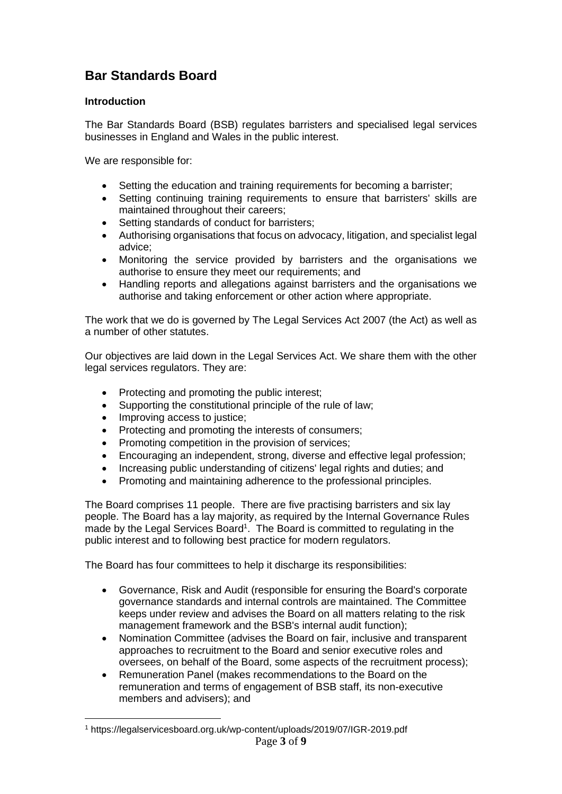# **Bar Standards Board**

# **Introduction**

The Bar Standards Board (BSB) regulates barristers and specialised legal services businesses in England and Wales in the public interest.

We are responsible for:

- Setting the education and training requirements for becoming a barrister;
- Setting continuing training requirements to ensure that barristers' skills are maintained throughout their careers;
- Setting standards of conduct for barristers:
- Authorising organisations that focus on advocacy, litigation, and specialist legal advice;
- Monitoring the service provided by barristers and the organisations we authorise to ensure they meet our requirements; and
- Handling reports and allegations against barristers and the organisations we authorise and taking enforcement or other action where appropriate.

The work that we do is governed by The Legal Services Act 2007 (the Act) as well as a number of other statutes.

Our objectives are laid down in the Legal Services Act. We share them with the other legal services regulators. They are:

- Protecting and promoting the public interest;
- Supporting the constitutional principle of the rule of law;
- Improving access to justice;
- Protecting and promoting the interests of consumers;
- Promoting competition in the provision of services;
- Encouraging an independent, strong, diverse and effective legal profession;
- Increasing public understanding of citizens' legal rights and duties; and
- Promoting and maintaining adherence to the professional principles.

The Board comprises 11 people. There are five practising barristers and six lay people. The Board has a lay majority, as required by the Internal Governance Rules made by the Legal Services Board<sup>1</sup>. The Board is committed to regulating in the public interest and to following best practice for modern regulators.

The Board has four committees to help it discharge its responsibilities:

- Governance, Risk and Audit (responsible for ensuring the Board's corporate governance standards and internal controls are maintained. The Committee keeps under review and advises the Board on all matters relating to the risk management framework and the BSB's internal audit function);
- Nomination Committee (advises the Board on fair, inclusive and transparent approaches to recruitment to the Board and senior executive roles and oversees, on behalf of the Board, some aspects of the recruitment process);
- Remuneration Panel (makes recommendations to the Board on the remuneration and terms of engagement of BSB staff, its non-executive members and advisers); and

Page **3** of **9** <sup>1</sup> https://legalservicesboard.org.uk/wp-content/uploads/2019/07/IGR-2019.pdf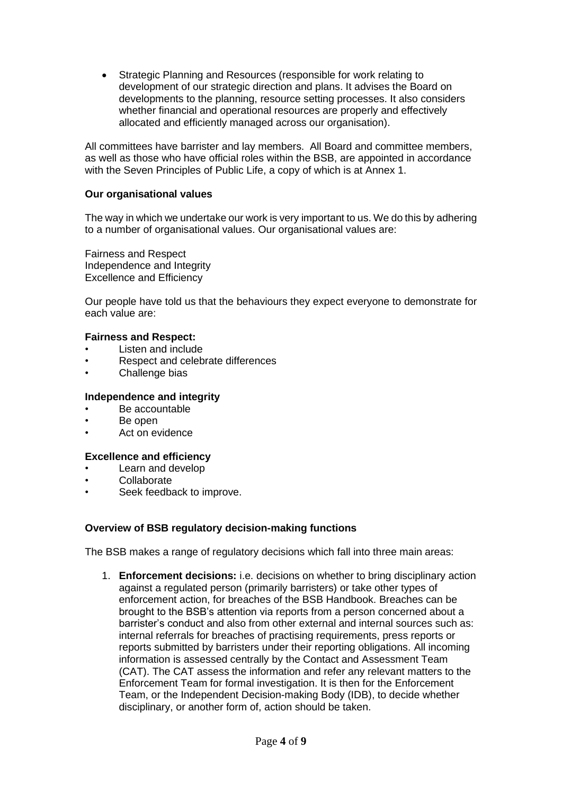• Strategic Planning and Resources (responsible for work relating to development of our strategic direction and plans. It advises the Board on developments to the planning, resource setting processes. It also considers whether financial and operational resources are properly and effectively allocated and efficiently managed across our organisation).

All committees have barrister and lay members. All Board and committee members, as well as those who have official roles within the BSB, are appointed in accordance with the Seven Principles of Public Life, a copy of which is at Annex 1.

#### **Our organisational values**

The way in which we undertake our work is very important to us. We do this by adhering to a number of organisational values. Our organisational values are:

Fairness and Respect Independence and Integrity Excellence and Efficiency

Our people have told us that the behaviours they expect everyone to demonstrate for each value are:

#### **Fairness and Respect:**

- Listen and include
- Respect and celebrate differences
- Challenge bias

#### **Independence and integrity**

- Be accountable
- Be open
- Act on evidence

#### **Excellence and efficiency**

- Learn and develop
- **Collaborate**
- Seek feedback to improve.

#### **Overview of BSB regulatory decision-making functions**

The BSB makes a range of regulatory decisions which fall into three main areas:

1. **Enforcement decisions:** i.e. decisions on whether to bring disciplinary action against a regulated person (primarily barristers) or take other types of enforcement action, for breaches of the BSB Handbook. Breaches can be brought to the BSB's attention via reports from a person concerned about a barrister's conduct and also from other external and internal sources such as: internal referrals for breaches of practising requirements, press reports or reports submitted by barristers under their reporting obligations. All incoming information is assessed centrally by the Contact and Assessment Team (CAT). The CAT assess the information and refer any relevant matters to the Enforcement Team for formal investigation. It is then for the Enforcement Team, or the Independent Decision-making Body (IDB), to decide whether disciplinary, or another form of, action should be taken.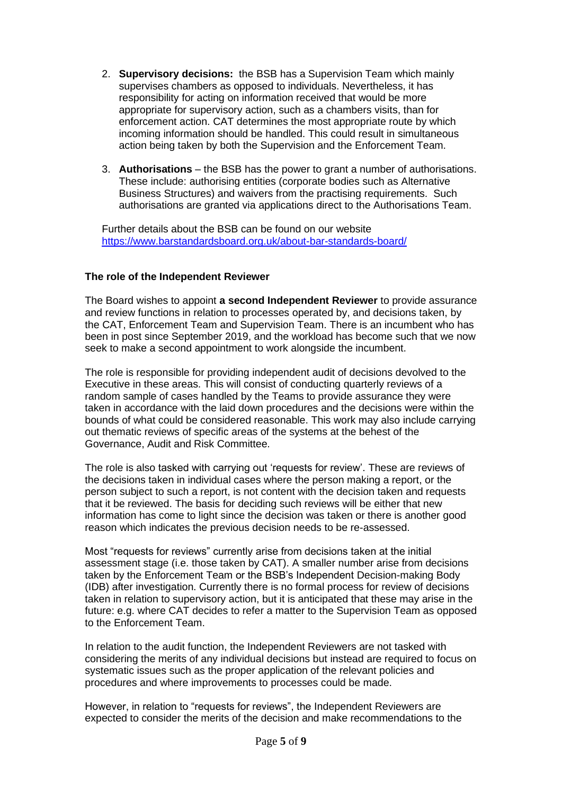- 2. **Supervisory decisions:** the BSB has a Supervision Team which mainly supervises chambers as opposed to individuals. Nevertheless, it has responsibility for acting on information received that would be more appropriate for supervisory action, such as a chambers visits, than for enforcement action. CAT determines the most appropriate route by which incoming information should be handled. This could result in simultaneous action being taken by both the Supervision and the Enforcement Team.
- 3. **Authorisations**  the BSB has the power to grant a number of authorisations. These include: authorising entities (corporate bodies such as Alternative Business Structures) and waivers from the practising requirements. Such authorisations are granted via applications direct to the Authorisations Team.

Further details about the BSB can be found on our website <https://www.barstandardsboard.org.uk/about-bar-standards-board/>

# **The role of the Independent Reviewer**

The Board wishes to appoint **a second Independent Reviewer** to provide assurance and review functions in relation to processes operated by, and decisions taken, by the CAT, Enforcement Team and Supervision Team. There is an incumbent who has been in post since September 2019, and the workload has become such that we now seek to make a second appointment to work alongside the incumbent.

The role is responsible for providing independent audit of decisions devolved to the Executive in these areas. This will consist of conducting quarterly reviews of a random sample of cases handled by the Teams to provide assurance they were taken in accordance with the laid down procedures and the decisions were within the bounds of what could be considered reasonable. This work may also include carrying out thematic reviews of specific areas of the systems at the behest of the Governance, Audit and Risk Committee.

The role is also tasked with carrying out 'requests for review'. These are reviews of the decisions taken in individual cases where the person making a report, or the person subject to such a report, is not content with the decision taken and requests that it be reviewed. The basis for deciding such reviews will be either that new information has come to light since the decision was taken or there is another good reason which indicates the previous decision needs to be re-assessed.

Most "requests for reviews" currently arise from decisions taken at the initial assessment stage (i.e. those taken by CAT). A smaller number arise from decisions taken by the Enforcement Team or the BSB's Independent Decision-making Body (IDB) after investigation. Currently there is no formal process for review of decisions taken in relation to supervisory action, but it is anticipated that these may arise in the future: e.g. where CAT decides to refer a matter to the Supervision Team as opposed to the Enforcement Team.

In relation to the audit function, the Independent Reviewers are not tasked with considering the merits of any individual decisions but instead are required to focus on systematic issues such as the proper application of the relevant policies and procedures and where improvements to processes could be made.

However, in relation to "requests for reviews", the Independent Reviewers are expected to consider the merits of the decision and make recommendations to the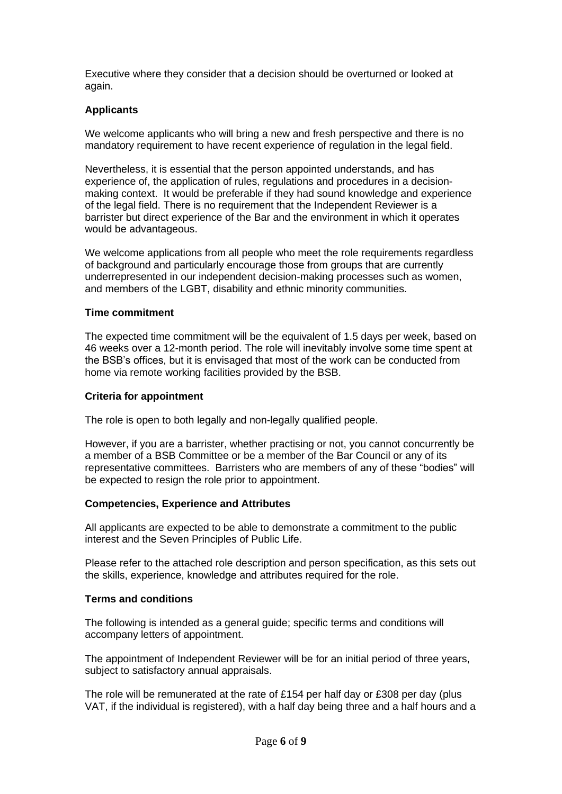Executive where they consider that a decision should be overturned or looked at again.

# **Applicants**

We welcome applicants who will bring a new and fresh perspective and there is no mandatory requirement to have recent experience of regulation in the legal field.

Nevertheless, it is essential that the person appointed understands, and has experience of, the application of rules, regulations and procedures in a decisionmaking context. It would be preferable if they had sound knowledge and experience of the legal field. There is no requirement that the Independent Reviewer is a barrister but direct experience of the Bar and the environment in which it operates would be advantageous.

We welcome applications from all people who meet the role requirements regardless of background and particularly encourage those from groups that are currently underrepresented in our independent decision-making processes such as women, and members of the LGBT, disability and ethnic minority communities.

#### **Time commitment**

The expected time commitment will be the equivalent of 1.5 days per week, based on 46 weeks over a 12-month period. The role will inevitably involve some time spent at the BSB's offices, but it is envisaged that most of the work can be conducted from home via remote working facilities provided by the BSB.

# **Criteria for appointment**

The role is open to both legally and non-legally qualified people.

However, if you are a barrister, whether practising or not, you cannot concurrently be a member of a BSB Committee or be a member of the Bar Council or any of its representative committees. Barristers who are members of any of these "bodies" will be expected to resign the role prior to appointment.

#### **Competencies, Experience and Attributes**

All applicants are expected to be able to demonstrate a commitment to the public interest and the Seven Principles of Public Life.

Please refer to the attached role description and person specification, as this sets out the skills, experience, knowledge and attributes required for the role.

#### **Terms and conditions**

The following is intended as a general guide; specific terms and conditions will accompany letters of appointment.

The appointment of Independent Reviewer will be for an initial period of three years, subject to satisfactory annual appraisals.

The role will be remunerated at the rate of £154 per half day or £308 per day (plus VAT, if the individual is registered), with a half day being three and a half hours and a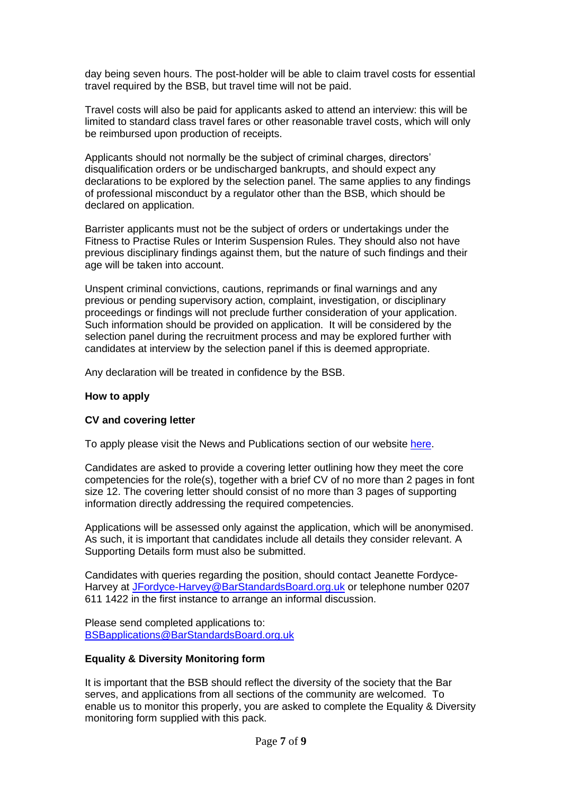day being seven hours. The post-holder will be able to claim travel costs for essential travel required by the BSB, but travel time will not be paid.

Travel costs will also be paid for applicants asked to attend an interview: this will be limited to standard class travel fares or other reasonable travel costs, which will only be reimbursed upon production of receipts.

Applicants should not normally be the subject of criminal charges, directors' disqualification orders or be undischarged bankrupts, and should expect any declarations to be explored by the selection panel. The same applies to any findings of professional misconduct by a regulator other than the BSB, which should be declared on application.

Barrister applicants must not be the subject of orders or undertakings under the Fitness to Practise Rules or Interim Suspension Rules. They should also not have previous disciplinary findings against them, but the nature of such findings and their age will be taken into account.

Unspent criminal convictions, cautions, reprimands or final warnings and any previous or pending supervisory action, complaint, investigation, or disciplinary proceedings or findings will not preclude further consideration of your application. Such information should be provided on application. It will be considered by the selection panel during the recruitment process and may be explored further with candidates at interview by the selection panel if this is deemed appropriate.

Any declaration will be treated in confidence by the BSB.

#### **How to apply**

#### **CV and covering letter**

To apply please visit the News and Publications section of our website [here.](https://www.barstandardsboard.org.uk/news-publications/press-releases.html)

Candidates are asked to provide a covering letter outlining how they meet the core competencies for the role(s), together with a brief CV of no more than 2 pages in font size 12. The covering letter should consist of no more than 3 pages of supporting information directly addressing the required competencies.

Applications will be assessed only against the application, which will be anonymised. As such, it is important that candidates include all details they consider relevant. A Supporting Details form must also be submitted.

Candidates with queries regarding the position, should contact Jeanette Fordyce-Harvey at [JFordyce-Harvey@BarStandardsBoard.org.uk](mailto:JFordyce-Harvey@BarStandardsBoard.org.uk) or telephone number 0207 611 1422 in the first instance to arrange an informal discussion.

Please send completed applications to: [BSBapplications@BarStandardsBoard.org.uk](mailto:BSBapplications@BarStandardsBoard.org.uk)

#### **Equality & Diversity Monitoring form**

It is important that the BSB should reflect the diversity of the society that the Bar serves, and applications from all sections of the community are welcomed. To enable us to monitor this properly, you are asked to complete the Equality & Diversity monitoring form supplied with this pack.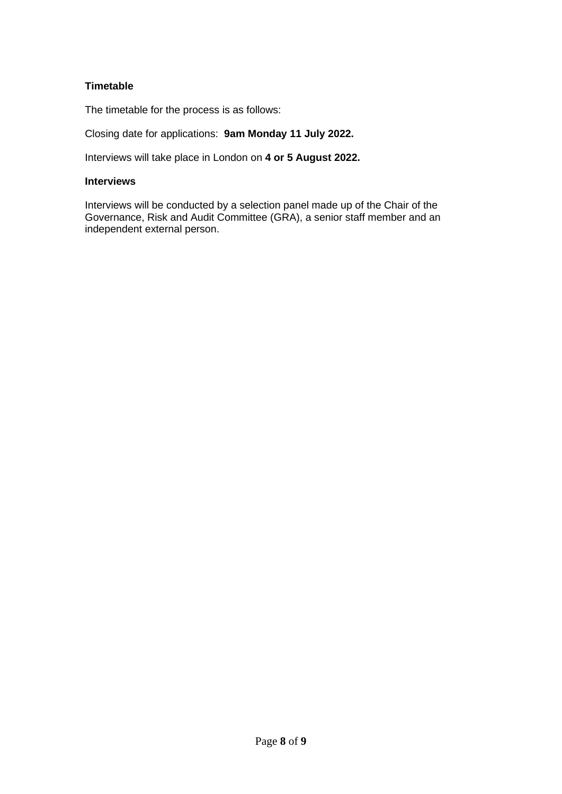# **Timetable**

The timetable for the process is as follows:

Closing date for applications: **9am Monday 11 July 2022.**

Interviews will take place in London on **4 or 5 August 2022.**

# **Interviews**

Interviews will be conducted by a selection panel made up of the Chair of the Governance, Risk and Audit Committee (GRA), a senior staff member and an independent external person.